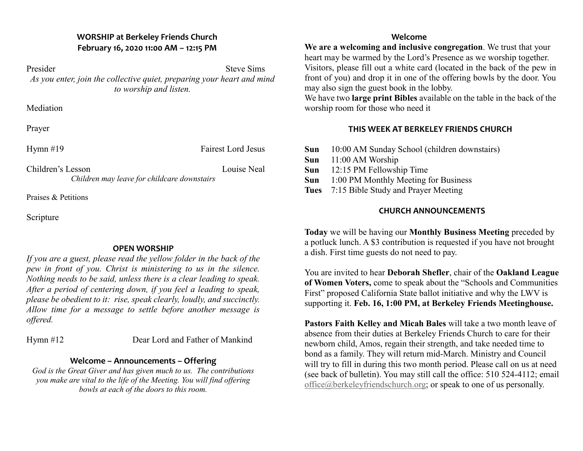## **WORSHIP at Berkeley Friends Church February 16, 2020 11:00 AM – 12:15 PM**

Presider Steve Sims *As you enter, join the collective quiet, preparing your heart and mind to worship and listen.*

**Mediation** 

Prayer

| Hymn $#19$                                  | <b>Fairest Lord Jesus</b> |
|---------------------------------------------|---------------------------|
| Children's Lesson                           | Louise Neal               |
| Children may leave for childcare downstairs |                           |

Praises & Petitions

Scripture

### **OPEN WORSHIP**

*If you are a guest, please read the yellow folder in the back of the pew in front of you. Christ is ministering to us in the silence. Nothing needs to be said, unless there is a clear leading to speak. After a period of centering down, if you feel a leading to speak, please be obedient to it: rise, speak clearly, loudly, and succinctly. Allow time for a message to settle before another message is offered.*

Hymn #12 Dear Lord and Father of Mankind

## **Welcome – Announcements – Offering**

*God is the Great Giver and has given much to us. The contributions you make are vital to the life of the Meeting. You will find offering bowls at each of the doors to this room.*

#### **Welcome**

**We are a welcoming and inclusive congregation**. We trust that your heart may be warmed by the Lord's Presence as we worship together. Visitors, please fill out a white card (located in the back of the pew in front of you) and drop it in one of the offering bowls by the door. You may also sign the guest book in the lobby.

We have two **large print Bibles** available on the table in the back of the worship room for those who need it

# **THIS WEEK AT BERKELEY FRIENDS CHURCH**

| Sun | 10:00 AM Sunday School (children downstairs)              |
|-----|-----------------------------------------------------------|
|     | $\mathcal{C}_{\text{max}} = 11.00 \text{ AMW}_{\text{c}}$ |

- **Sun** 11:00 AM Worship
- **Sun** 12:15 PM Fellowship Time
- **Sun** 1:00 PM Monthly Meeting for Business
- **Tues** 7:15 Bible Study and Prayer Meeting

# **CHURCH ANNOUNCEMENTS**

**Today** we will be having our **Monthly Business Meeting** preceded by a potluck lunch. A \$3 contribution is requested if you have not brought a dish. First time guests do not need to pay.

You are invited to hear **Deborah Shefler**, chair of the **Oakland League of Women Voters,** come to speak about the "Schools and Communities First" proposed California State ballot initiative and why the LWV is supporting it. **Feb. 16, 1:00 PM, at Berkeley Friends Meetinghouse.**

**Pastors Faith Kelley and Micah Bales** will take a two month leave of absence from their duties at Berkeley Friends Church to care for their newborn child, Amos, regain their strength, and take needed time to bond as a family. They will return mid-March. Ministry and Council will try to fill in during this two month period. Please call on us at need (see back of bulletin). You may still call the office: 510 524-4112; email office@berkeleyfriendschurch.org; or speak to one of us personally.